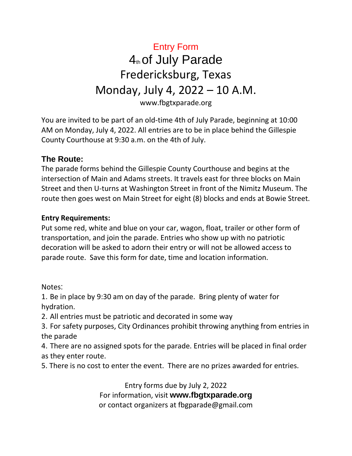### Entry Form 4th of July Parade Fredericksburg, Texas Monday, July 4, 2022 – 10 A.M. www.fbgtxparade.org

You are invited to be part of an old-time 4th of July Parade, beginning at 10:00 AM on Monday, July 4, 2022. All entries are to be in place behind the Gillespie County Courthouse at 9:30 a.m. on the 4th of July.

### **The Route:**

The parade forms behind the Gillespie County Courthouse and begins at the intersection of Main and Adams streets. It travels east for three blocks on Main Street and then U-turns at Washington Street in front of the Nimitz Museum. The route then goes west on Main Street for eight (8) blocks and ends at Bowie Street.

#### **Entry Requirements:**

Put some red, white and blue on your car, wagon, float, trailer or other form of transportation, and join the parade. Entries who show up with no patriotic decoration will be asked to adorn their entry or will not be allowed access to parade route. Save this form for date, time and location information.

Notes:

1. Be in place by 9:30 am on day of the parade. Bring plenty of water for hydration.

2. All entries must be patriotic and decorated in some way

3. For safety purposes, City Ordinances prohibit throwing anything from entries in the parade

4. There are no assigned spots for the parade. Entries will be placed in final order as they enter route.

5. There is no cost to enter the event. There are no prizes awarded for entries.

Entry forms due by July 2, 2022 For information, visit **www.fbgtxparade.org** or contact organizers at fbgparade@gmail.com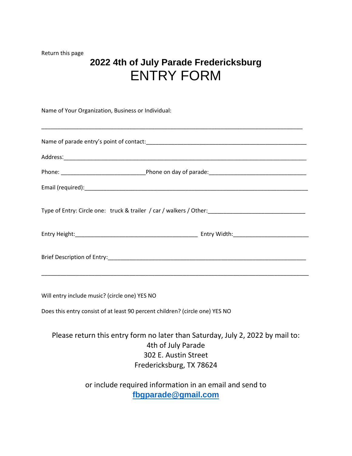Return this page

## **2022 4th of July Parade Fredericksburg** ENTRY FORM

\_\_\_\_\_\_\_\_\_\_\_\_\_\_\_\_\_\_\_\_\_\_\_\_\_\_\_\_\_\_\_\_\_\_\_\_\_\_\_\_\_\_\_\_\_\_\_\_\_\_\_\_\_\_\_\_\_\_\_\_\_\_\_\_\_\_\_\_\_\_\_\_\_\_\_\_\_\_\_\_\_\_\_

Name of Your Organization, Business or Individual:

| Will entry include music? (circle one) YES NO |  |
|-----------------------------------------------|--|

Does this entry consist of at least 90 percent children? (circle one) YES NO

### Please return this entry form no later than Saturday, July 2, 2022 by mail to: 4th of July Parade 302 E. Austin Street Fredericksburg, TX 78624

or include required information in an email and send to **[fbgparade@gmail.com](mailto:fbgparade@gmail.com)**